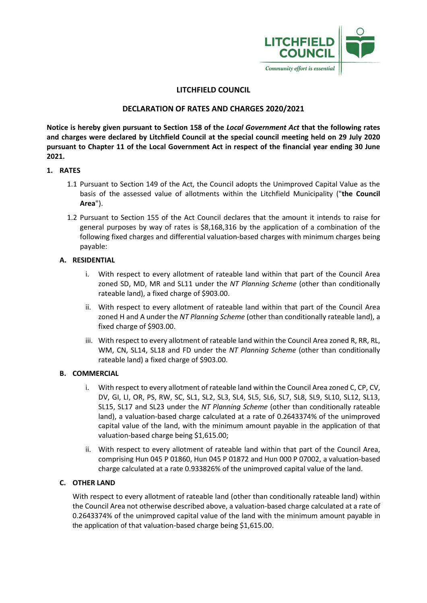

# **LITCHFIELD COUNCIL**

# **DECLARATION OF RATES AND CHARGES 2020/2021**

**Notice is hereby given pursuant to Section 158 of the** *Local Government Act* **that the following rates and charges were declared by Litchfield Council at the special council meeting held on 29 July 2020 pursuant to Chapter 11 of the Local Government Act in respect of the financial year ending 30 June 2021.**

### **1. RATES**

- 1.1 Pursuant to Section 149 of the Act, the Council adopts the Unimproved Capital Value as the basis of the assessed value of allotments within the Litchfield Municipality ("**the Council Area**").
- 1.2 Pursuant to Section 155 of the Act Council declares that the amount it intends to raise for general purposes by way of rates is \$8,168,316 by the application of a combination of the following fixed charges and differential valuation-based charges with minimum charges being payable:

## **A. RESIDENTIAL**

- i. With respect to every allotment of rateable land within that part of the Council Area zoned SD, MD, MR and SL11 under the *NT Planning Scheme* (other than conditionally rateable land), a fixed charge of \$903.00.
- ii. With respect to every allotment of rateable land within that part of the Council Area zoned H and A under the *NT Planning Scheme* (other than conditionally rateable land), a fixed charge of \$903.00.
- iii. With respect to every allotment of rateable land within the Council Area zoned R, RR, RL, WM, CN, SL14, SL18 and FD under the *NT Planning Scheme* (other than conditionally rateable land) a fixed charge of \$903.00.

### **B. COMMERCIAL**

- i. With respect to every allotment of rateable land within the Council Area zoned C, CP, CV, DV, GI, LI, OR, PS, RW, SC, SL1, SL2, SL3, SL4, SL5, SL6, SL7, SL8, SL9, SL10, SL12, SL13, SL15, SL17 and SL23 under the *NT Planning Scheme* (other than conditionally rateable land), a valuation-based charge calculated at a rate of 0.2643374% of the unimproved capital value of the land, with the minimum amount payable in the application of that valuation-based charge being \$1,615.00;
- ii. With respect to every allotment of rateable land within that part of the Council Area, comprising Hun 045 P 01860, Hun 045 P 01872 and Hun 000 P 07002, a valuation-based charge calculated at a rate 0.933826% of the unimproved capital value of the land.

### **C. OTHER LAND**

With respect to every allotment of rateable land (other than conditionally rateable land) within the Council Area not otherwise described above, a valuation-based charge calculated at a rate of 0.2643374% of the unimproved capital value of the land with the minimum amount payable in the application of that valuation-based charge being \$1,615.00.